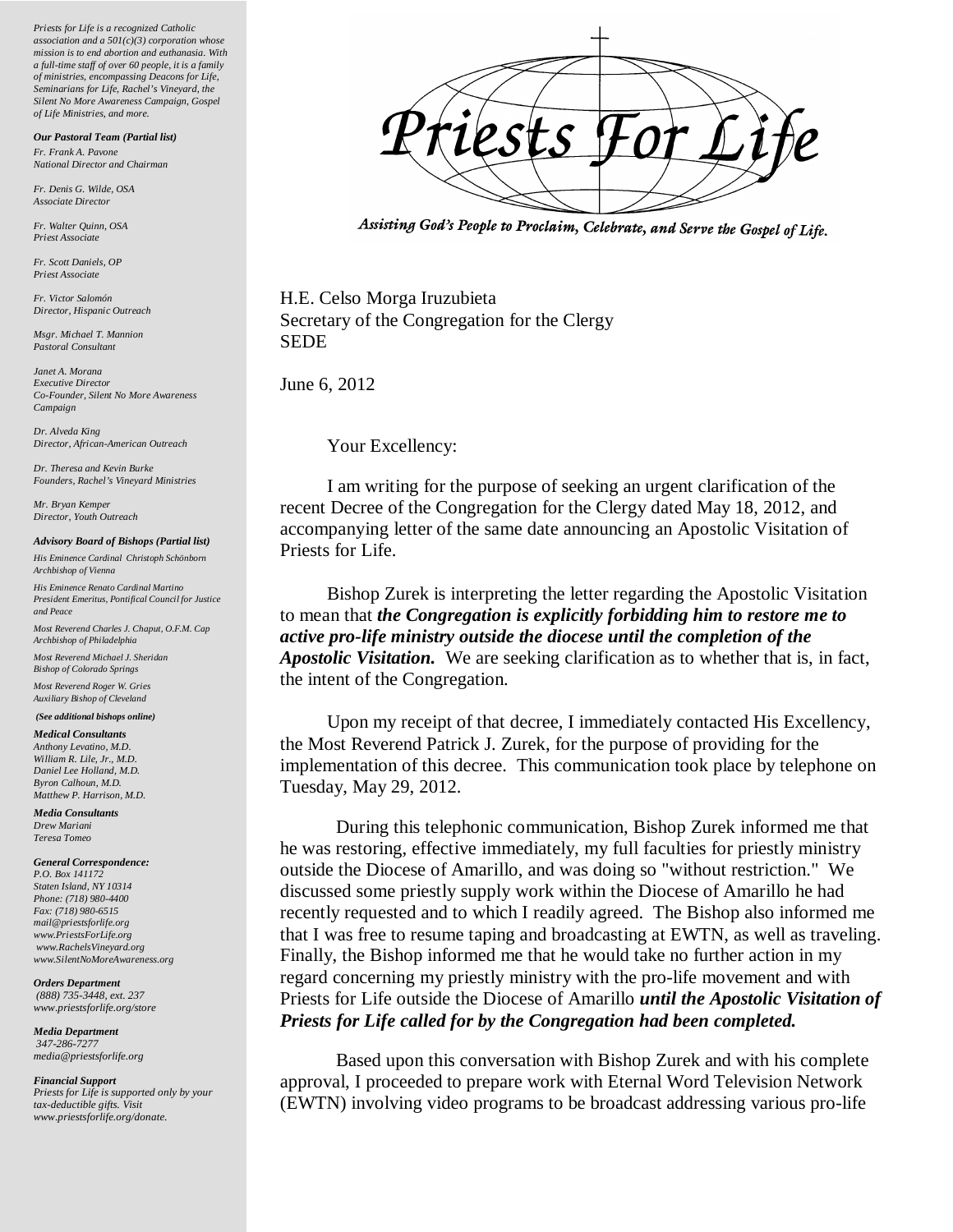*Priests for Life is a recognized Catholic association and a 501(c)(3) corporation whose mission is to end abortion and euthanasia. With a full-time staff of over 60 people, it is a family of ministries, encompassing Deacons for Life, Seminarians for Life, Rachel's Vineyard, the Silent No More Awareness Campaign, Gospel of Life Ministries, and more.*

*Our Pastoral Team (Partial list)*

*Fr. Frank A. Pavone National Director and Chairman* 

*Fr. Denis G. Wilde, OSA Associate Director*

*Fr. Walter Quinn, OSA Priest Associate*

*Fr. Scott Daniels, OP Priest Associate*

*Fr. Victor Salomón Director, Hispanic Outreach*

*Msgr. Michael T. Mannion Pastoral Consultant*

*Janet A. Morana Executive Director Co-Founder, Silent No More Awareness Campaign*

*Dr. Alveda King Director, African-American Outreach* 

*Dr. Theresa and Kevin Burke Founders, Rachel's Vineyard Ministries*

*Mr. Bryan Kemper Director, Youth Outreach*

## *Advisory Board of Bishops (Partial list)*

*His Eminence Cardinal Christoph Schönborn Archbishop of Vienna*

*His Eminence Renato Cardinal Martino President Emeritus, Pontifical Council for Justice and Peace*

*Most Reverend Charles J. Chaput, O.F.M. Cap Archbishop of Philadelphia*

*Most Reverend Michael J. Sheridan Bishop of Colorado Springs*

*Most Reverend Roger W. Gries Auxiliary Bishop of Cleveland*

## *(See additional bishops online)*

*Medical Consultants Anthony Levatino, M.D. William R. Lile, Jr., M.D. Daniel Lee Holland, M.D. Byron Calhoun, M.D. Matthew P. Harrison, M.D.*

*Media Consultants Drew Mariani Teresa Tomeo*

*General Correspondence:*

*P.O. Box 141172 Staten Island, NY 10314 Phone: (718) 980-4400 Fax: (718) 980-6515 mail@priestsforlife.org www.PriestsForLife.org www.RachelsVineyard.org www.SilentNoMoreAwareness.org*

*Orders Department (888) 735-3448, ext. 237 www.priestsforlife.org/store*

*Media Department 347-286-7277 media@priestsforlife.org*

## *Financial Support*

*Priests for Life is supported only by your tax-deductible gifts. Visit www.priestsforlife.org/donate.*



Assisting God's People to Proclaim, Celebrate, and Serve the Gospel of Life.

H.E. Celso Morga Iruzubieta Secretary of the Congregation for the Clergy SEDE

June 6, 2012

Your Excellency:

 I am writing for the purpose of seeking an urgent clarification of the recent Decree of the Congregation for the Clergy dated May 18, 2012, and accompanying letter of the same date announcing an Apostolic Visitation of Priests for Life.

 Bishop Zurek is interpreting the letter regarding the Apostolic Visitation to mean that *the Congregation is explicitly forbidding him to restore me to active pro-life ministry outside the diocese until the completion of the Apostolic Visitation.* We are seeking clarification as to whether that is, in fact, the intent of the Congregation.

 Upon my receipt of that decree, I immediately contacted His Excellency, the Most Reverend Patrick J. Zurek, for the purpose of providing for the implementation of this decree. This communication took place by telephone on Tuesday, May 29, 2012.

During this telephonic communication, Bishop Zurek informed me that he was restoring, effective immediately, my full faculties for priestly ministry outside the Diocese of Amarillo, and was doing so "without restriction." We discussed some priestly supply work within the Diocese of Amarillo he had recently requested and to which I readily agreed. The Bishop also informed me that I was free to resume taping and broadcasting at EWTN, as well as traveling. Finally, the Bishop informed me that he would take no further action in my regard concerning my priestly ministry with the pro-life movement and with Priests for Life outside the Diocese of Amarillo *until the Apostolic Visitation of Priests for Life called for by the Congregation had been completed.*

Based upon this conversation with Bishop Zurek and with his complete approval, I proceeded to prepare work with Eternal Word Television Network (EWTN) involving video programs to be broadcast addressing various pro-life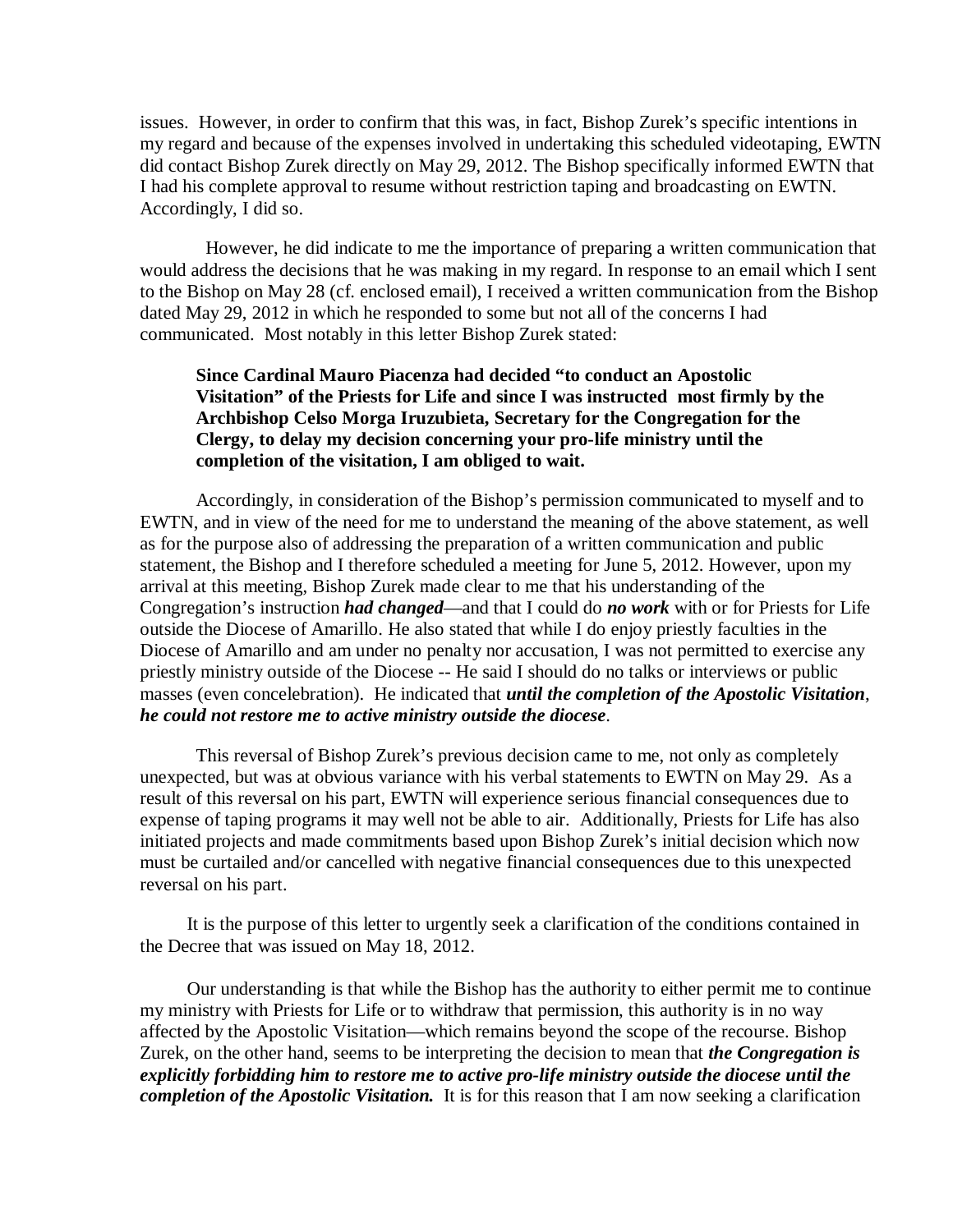issues. However, in order to confirm that this was, in fact, Bishop Zurek's specific intentions in my regard and because of the expenses involved in undertaking this scheduled videotaping, EWTN did contact Bishop Zurek directly on May 29, 2012. The Bishop specifically informed EWTN that I had his complete approval to resume without restriction taping and broadcasting on EWTN. Accordingly, I did so.

 However, he did indicate to me the importance of preparing a written communication that would address the decisions that he was making in my regard. In response to an email which I sent to the Bishop on May 28 (cf. enclosed email), I received a written communication from the Bishop dated May 29, 2012 in which he responded to some but not all of the concerns I had communicated. Most notably in this letter Bishop Zurek stated:

## **Since Cardinal Mauro Piacenza had decided "to conduct an Apostolic Visitation" of the Priests for Life and since I was instructed most firmly by the Archbishop Celso Morga Iruzubieta, Secretary for the Congregation for the Clergy, to delay my decision concerning your pro-life ministry until the completion of the visitation, I am obliged to wait.**

Accordingly, in consideration of the Bishop's permission communicated to myself and to EWTN, and in view of the need for me to understand the meaning of the above statement, as well as for the purpose also of addressing the preparation of a written communication and public statement, the Bishop and I therefore scheduled a meeting for June 5, 2012. However, upon my arrival at this meeting, Bishop Zurek made clear to me that his understanding of the Congregation's instruction *had changed*—and that I could do *no work* with or for Priests for Life outside the Diocese of Amarillo. He also stated that while I do enjoy priestly faculties in the Diocese of Amarillo and am under no penalty nor accusation, I was not permitted to exercise any priestly ministry outside of the Diocese -- He said I should do no talks or interviews or public masses (even concelebration). He indicated that *until the completion of the Apostolic Visitation*, *he could not restore me to active ministry outside the diocese*.

This reversal of Bishop Zurek's previous decision came to me, not only as completely unexpected, but was at obvious variance with his verbal statements to EWTN on May 29. As a result of this reversal on his part, EWTN will experience serious financial consequences due to expense of taping programs it may well not be able to air. Additionally, Priests for Life has also initiated projects and made commitments based upon Bishop Zurek's initial decision which now must be curtailed and/or cancelled with negative financial consequences due to this unexpected reversal on his part.

 It is the purpose of this letter to urgently seek a clarification of the conditions contained in the Decree that was issued on May 18, 2012.

 Our understanding is that while the Bishop has the authority to either permit me to continue my ministry with Priests for Life or to withdraw that permission, this authority is in no way affected by the Apostolic Visitation—which remains beyond the scope of the recourse. Bishop Zurek, on the other hand, seems to be interpreting the decision to mean that *the Congregation is explicitly forbidding him to restore me to active pro-life ministry outside the diocese until the completion of the Apostolic Visitation.* It is for this reason that I am now seeking a clarification